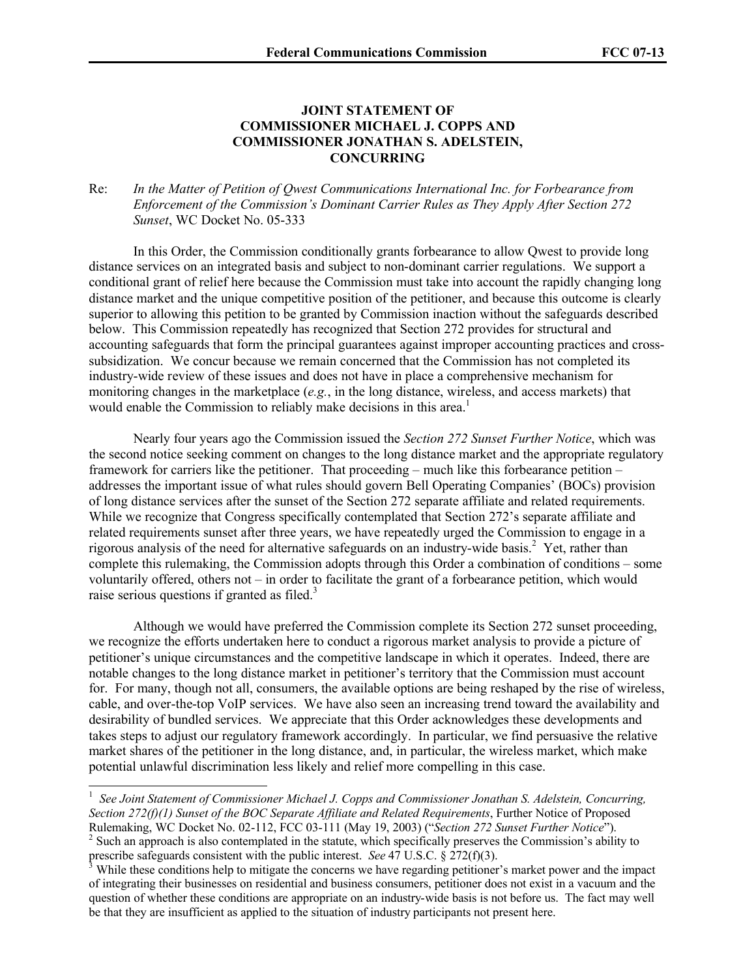## **JOINT STATEMENT OF COMMISSIONER MICHAEL J. COPPS AND COMMISSIONER JONATHAN S. ADELSTEIN, CONCURRING**

## Re: *In the Matter of Petition of Qwest Communications International Inc. for Forbearance from Enforcement of the Commission's Dominant Carrier Rules as They Apply After Section 272 Sunset*, WC Docket No. 05-333

In this Order, the Commission conditionally grants forbearance to allow Qwest to provide long distance services on an integrated basis and subject to non-dominant carrier regulations. We support a conditional grant of relief here because the Commission must take into account the rapidly changing long distance market and the unique competitive position of the petitioner, and because this outcome is clearly superior to allowing this petition to be granted by Commission inaction without the safeguards described below. This Commission repeatedly has recognized that Section 272 provides for structural and accounting safeguards that form the principal guarantees against improper accounting practices and crosssubsidization. We concur because we remain concerned that the Commission has not completed its industry-wide review of these issues and does not have in place a comprehensive mechanism for monitoring changes in the marketplace (*e.g.*, in the long distance, wireless, and access markets) that would enable the Commission to reliably make decisions in this area.<sup>1</sup>

Nearly four years ago the Commission issued the *Section 272 Sunset Further Notice*, which was the second notice seeking comment on changes to the long distance market and the appropriate regulatory framework for carriers like the petitioner. That proceeding – much like this forbearance petition – addresses the important issue of what rules should govern Bell Operating Companies' (BOCs) provision of long distance services after the sunset of the Section 272 separate affiliate and related requirements. While we recognize that Congress specifically contemplated that Section 272's separate affiliate and related requirements sunset after three years, we have repeatedly urged the Commission to engage in a rigorous analysis of the need for alternative safeguards on an industry-wide basis.<sup>2</sup> Yet, rather than complete this rulemaking, the Commission adopts through this Order a combination of conditions – some voluntarily offered, others not – in order to facilitate the grant of a forbearance petition, which would raise serious questions if granted as filed.<sup>3</sup>

Although we would have preferred the Commission complete its Section 272 sunset proceeding, we recognize the efforts undertaken here to conduct a rigorous market analysis to provide a picture of petitioner's unique circumstances and the competitive landscape in which it operates. Indeed, there are notable changes to the long distance market in petitioner's territory that the Commission must account for. For many, though not all, consumers, the available options are being reshaped by the rise of wireless, cable, and over-the-top VoIP services. We have also seen an increasing trend toward the availability and desirability of bundled services. We appreciate that this Order acknowledges these developments and takes steps to adjust our regulatory framework accordingly. In particular, we find persuasive the relative market shares of the petitioner in the long distance, and, in particular, the wireless market, which make potential unlawful discrimination less likely and relief more compelling in this case.

<sup>1</sup> *See Joint Statement of Commissioner Michael J. Copps and Commissioner Jonathan S. Adelstein, Concurring, Section 272(f)(1) Sunset of the BOC Separate Affiliate and Related Requirements*, Further Notice of Proposed Rulemaking, WC Docket No. 02-112, FCC 03-111 (May 19, 2003) ("*Section 272 Sunset Further Notice*").

 $2^{2}$  Such an approach is also contemplated in the statute, which specifically preserves the Commission's ability to prescribe safeguards consistent with the public interest. *See* 47 U.S.C. § 272(f)(3).

<sup>&</sup>lt;sup>3</sup> While these conditions help to mitigate the concerns we have regarding petitioner's market power and the impact of integrating their businesses on residential and business consumers, petitioner does not exist in a vacuum and the question of whether these conditions are appropriate on an industry-wide basis is not before us. The fact may well be that they are insufficient as applied to the situation of industry participants not present here.